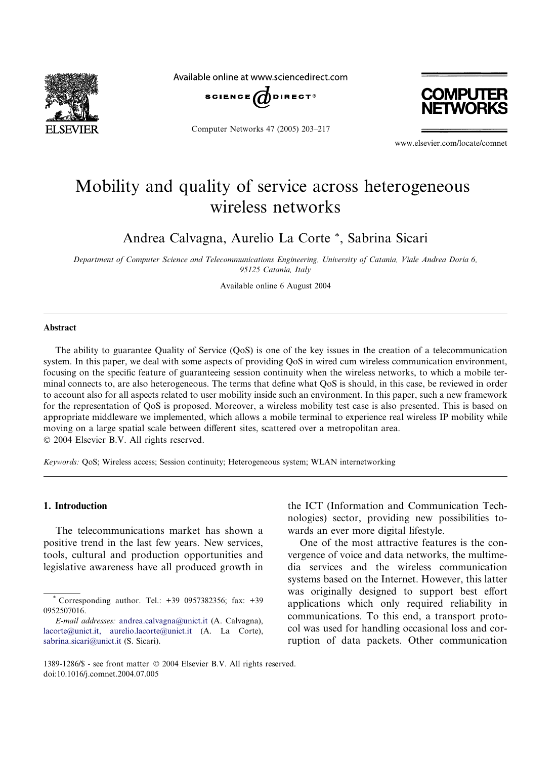

Available online at www.sciencedirect.com



Computer Networks 47 (2005) 203–217



www.elsevier.com/locate/comnet

# Mobility and quality of service across heterogeneous wireless networks

Andrea Calvagna, Aurelio La Corte \*, Sabrina Sicari

Department of Computer Science and Telecommunications Engineering, University of Catania, Viale Andrea Doria 6, 95125 Catania, Italy

Available online 6 August 2004

#### Abstract

The ability to guarantee Quality of Service (QoS) is one of the key issues in the creation of a telecommunication system. In this paper, we deal with some aspects of providing QoS in wired cum wireless communication environment, focusing on the specific feature of guaranteeing session continuity when the wireless networks, to which a mobile terminal connects to, are also heterogeneous. The terms that define what QoS is should, in this case, be reviewed in order to account also for all aspects related to user mobility inside such an environment. In this paper, such a new framework for the representation of QoS is proposed. Moreover, a wireless mobility test case is also presented. This is based on appropriate middleware we implemented, which allows a mobile terminal to experience real wireless IP mobility while moving on a large spatial scale between different sites, scattered over a metropolitan area. 2004 Elsevier B.V. All rights reserved.

Keywords: QoS; Wireless access; Session continuity; Heterogeneous system; WLAN internetworking

#### 1. Introduction

The telecommunications market has shown a positive trend in the last few years. New services, tools, cultural and production opportunities and legislative awareness have all produced growth in

the ICT (Information and Communication Technologies) sector, providing new possibilities towards an ever more digital lifestyle.

One of the most attractive features is the convergence of voice and data networks, the multimedia services and the wireless communication systems based on the Internet. However, this latter was originally designed to support best effort applications which only required reliability in communications. To this end, a transport protocol was used for handling occasional loss and corruption of data packets. Other communication

Corresponding author. Tel.: +39 0957382356; fax: +39 0952507016.

E-mail addresses: [andrea.calvagna@unict.it](mailto:andrea.calvagna@unict.it ) (A. Calvagna), [lacorte@unict.it,](mailto:lacorte@unict.it, ) [aurelio.lacorte@unict.it](mailto:aurelio.lacorte@unict.it ) (A. La Corte), [sabrina.sicari@unict.it](mailto:sabrina.sicari@unict.it ) (S. Sicari).

<sup>1389-1286/\$ -</sup> see front matter © 2004 Elsevier B.V. All rights reserved. doi:10.1016/j.comnet.2004.07.005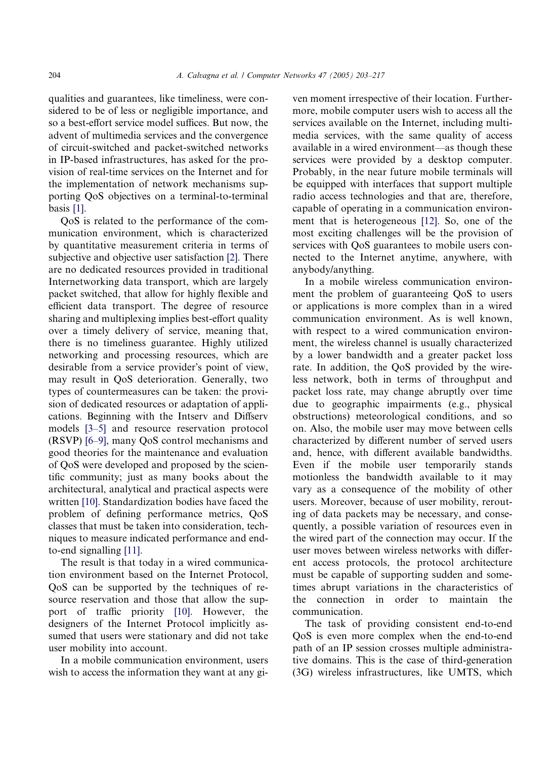qualities and guarantees, like timeliness, were considered to be of less or negligible importance, and so a best-effort service model suffices. But now, the advent of multimedia services and the convergence of circuit-switched and packet-switched networks in IP-based infrastructures, has asked for the provision of real-time services on the Internet and for the implementation of network mechanisms supporting QoS objectives on a terminal-to-terminal basis [\[1\]](#page-12-0).

QoS is related to the performance of the communication environment, which is characterized by quantitative measurement criteria in terms of subjective and objective user satisfaction [\[2\].](#page-12-0) There are no dedicated resources provided in traditional Internetworking data transport, which are largely packet switched, that allow for highly flexible and efficient data transport. The degree of resource sharing and multiplexing implies best-effort quality over a timely delivery of service, meaning that, there is no timeliness guarantee. Highly utilized networking and processing resources, which are desirable from a service provider's point of view, may result in QoS deterioration. Generally, two types of countermeasures can be taken: the provision of dedicated resources or adaptation of applications. Beginning with the Intserv and Diffserv models [\[3–5\]](#page-13-0) and resource reservation protocol (RSVP) [\[6–9\],](#page-13-0) many QoS control mechanisms and good theories for the maintenance and evaluation of QoS were developed and proposed by the scientific community; just as many books about the architectural, analytical and practical aspects were written [\[10\].](#page-13-0) Standardization bodies have faced the problem of defining performance metrics, QoS classes that must be taken into consideration, techniques to measure indicated performance and endto-end signalling [\[11\]](#page-13-0).

The result is that today in a wired communication environment based on the Internet Protocol, QoS can be supported by the techniques of resource reservation and those that allow the support of traffic priority [\[10\]](#page-13-0). However, the designers of the Internet Protocol implicitly assumed that users were stationary and did not take user mobility into account.

In a mobile communication environment, users wish to access the information they want at any given moment irrespective of their location. Furthermore, mobile computer users wish to access all the services available on the Internet, including multimedia services, with the same quality of access available in a wired environment—as though these services were provided by a desktop computer. Probably, in the near future mobile terminals will be equipped with interfaces that support multiple radio access technologies and that are, therefore, capable of operating in a communication environment that is heterogeneous [\[12\].](#page-13-0) So, one of the most exciting challenges will be the provision of services with QoS guarantees to mobile users connected to the Internet anytime, anywhere, with anybody/anything.

In a mobile wireless communication environment the problem of guaranteeing QoS to users or applications is more complex than in a wired communication environment. As is well known, with respect to a wired communication environment, the wireless channel is usually characterized by a lower bandwidth and a greater packet loss rate. In addition, the QoS provided by the wireless network, both in terms of throughput and packet loss rate, may change abruptly over time due to geographic impairments (e.g., physical obstructions) meteorological conditions, and so on. Also, the mobile user may move between cells characterized by different number of served users and, hence, with different available bandwidths. Even if the mobile user temporarily stands motionless the bandwidth available to it may vary as a consequence of the mobility of other users. Moreover, because of user mobility, rerouting of data packets may be necessary, and consequently, a possible variation of resources even in the wired part of the connection may occur. If the user moves between wireless networks with different access protocols, the protocol architecture must be capable of supporting sudden and sometimes abrupt variations in the characteristics of the connection in order to maintain the communication.

The task of providing consistent end-to-end QoS is even more complex when the end-to-end path of an IP session crosses multiple administrative domains. This is the case of third-generation (3G) wireless infrastructures, like UMTS, which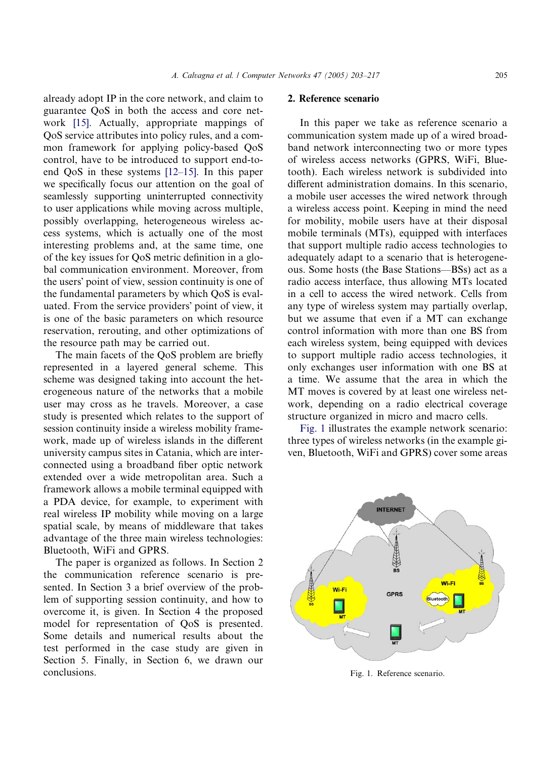already adopt IP in the core network, and claim to guarantee QoS in both the access and core network [\[15\]](#page-13-0). Actually, appropriate mappings of QoS service attributes into policy rules, and a common framework for applying policy-based QoS control, have to be introduced to support end-toend QoS in these systems [\[12–15\]](#page-13-0). In this paper we specifically focus our attention on the goal of seamlessly supporting uninterrupted connectivity to user applications while moving across multiple, possibly overlapping, heterogeneous wireless access systems, which is actually one of the most interesting problems and, at the same time, one of the key issues for QoS metric definition in a global communication environment. Moreover, from the users' point of view, session continuity is one of the fundamental parameters by which QoS is evaluated. From the service providers' point of view, it is one of the basic parameters on which resource reservation, rerouting, and other optimizations of the resource path may be carried out.

The main facets of the QoS problem are briefly represented in a layered general scheme. This scheme was designed taking into account the heterogeneous nature of the networks that a mobile user may cross as he travels. Moreover, a case study is presented which relates to the support of session continuity inside a wireless mobility framework, made up of wireless islands in the different university campus sites in Catania, which are interconnected using a broadband fiber optic network extended over a wide metropolitan area. Such a framework allows a mobile terminal equipped with a PDA device, for example, to experiment with real wireless IP mobility while moving on a large spatial scale, by means of middleware that takes advantage of the three main wireless technologies: Bluetooth, WiFi and GPRS.

The paper is organized as follows. In Section 2 the communication reference scenario is presented. In Section 3 a brief overview of the problem of supporting session continuity, and how to overcome it, is given. In Section 4 the proposed model for representation of QoS is presented. Some details and numerical results about the test performed in the case study are given in Section 5. Finally, in Section 6, we drawn our conclusions.

# 2. Reference scenario

In this paper we take as reference scenario a communication system made up of a wired broadband network interconnecting two or more types of wireless access networks (GPRS, WiFi, Bluetooth). Each wireless network is subdivided into different administration domains. In this scenario, a mobile user accesses the wired network through a wireless access point. Keeping in mind the need for mobility, mobile users have at their disposal mobile terminals (MTs), equipped with interfaces that support multiple radio access technologies to adequately adapt to a scenario that is heterogeneous. Some hosts (the Base Stations—BSs) act as a radio access interface, thus allowing MTs located in a cell to access the wired network. Cells from any type of wireless system may partially overlap, but we assume that even if a MT can exchange control information with more than one BS from each wireless system, being equipped with devices to support multiple radio access technologies, it only exchanges user information with one BS at a time. We assume that the area in which the MT moves is covered by at least one wireless network, depending on a radio electrical coverage structure organized in micro and macro cells.

Fig. 1 illustrates the example network scenario: three types of wireless networks (in the example given, Bluetooth, WiFi and GPRS) cover some areas



Fig. 1. Reference scenario.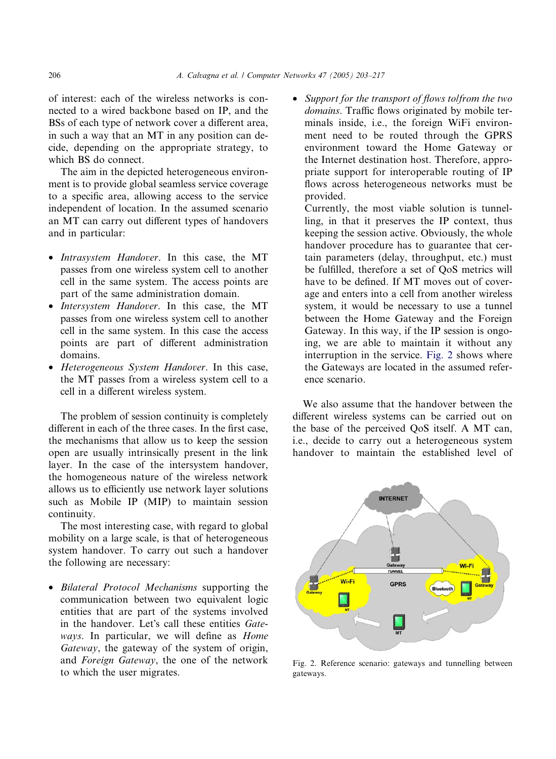of interest: each of the wireless networks is connected to a wired backbone based on IP, and the BSs of each type of network cover a different area, in such a way that an MT in any position can decide, depending on the appropriate strategy, to which BS do connect.

The aim in the depicted heterogeneous environment is to provide global seamless service coverage to a specific area, allowing access to the service independent of location. In the assumed scenario an MT can carry out different types of handovers and in particular:

- Intrasystem Handover. In this case, the MT passes from one wireless system cell to another cell in the same system. The access points are part of the same administration domain.
- Intersystem Handover. In this case, the MT passes from one wireless system cell to another cell in the same system. In this case the access points are part of different administration domains.
- Heterogeneous System Handover. In this case, the MT passes from a wireless system cell to a cell in a different wireless system.

The problem of session continuity is completely different in each of the three cases. In the first case, the mechanisms that allow us to keep the session open are usually intrinsically present in the link layer. In the case of the intersystem handover, the homogeneous nature of the wireless network allows us to efficiently use network layer solutions such as Mobile IP (MIP) to maintain session continuity.

The most interesting case, with regard to global mobility on a large scale, is that of heterogeneous system handover. To carry out such a handover the following are necessary:

• Bilateral Protocol Mechanisms supporting the communication between two equivalent logic entities that are part of the systems involved in the handover. Let's call these entities  $Gate$ ways. In particular, we will define as *Home* Gateway, the gateway of the system of origin, and Foreign Gateway, the one of the network to which the user migrates.

• Support for the transport of flows tolfrom the two domains. Traffic flows originated by mobile terminals inside, i.e., the foreign WiFi environment need to be routed through the GPRS environment toward the Home Gateway or the Internet destination host. Therefore, appropriate support for interoperable routing of IP flows across heterogeneous networks must be provided.

Currently, the most viable solution is tunnelling, in that it preserves the IP context, thus keeping the session active. Obviously, the whole handover procedure has to guarantee that certain parameters (delay, throughput, etc.) must be fulfilled, therefore a set of QoS metrics will have to be defined. If MT moves out of coverage and enters into a cell from another wireless system, it would be necessary to use a tunnel between the Home Gateway and the Foreign Gateway. In this way, if the IP session is ongoing, we are able to maintain it without any interruption in the service. Fig. 2 shows where the Gateways are located in the assumed reference scenario.

We also assume that the handover between the different wireless systems can be carried out on the base of the perceived QoS itself. A MT can, i.e., decide to carry out a heterogeneous system handover to maintain the established level of



Fig. 2. Reference scenario: gateways and tunnelling between gateways.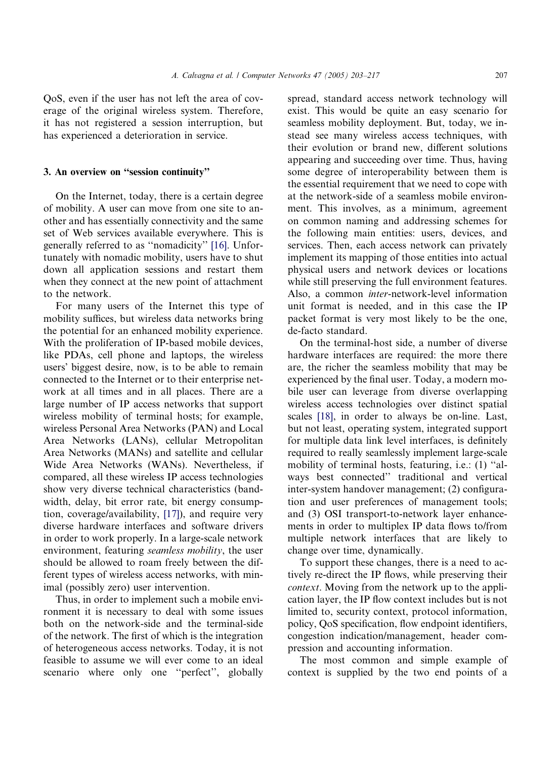QoS, even if the user has not left the area of coverage of the original wireless system. Therefore, it has not registered a session interruption, but has experienced a deterioration in service.

#### 3. An overview on ''session continuity''

On the Internet, today, there is a certain degree of mobility. A user can move from one site to another and has essentially connectivity and the same set of Web services available everywhere. This is generally referred to as ''nomadicity'' [\[16\]](#page-13-0). Unfortunately with nomadic mobility, users have to shut down all application sessions and restart them when they connect at the new point of attachment to the network.

For many users of the Internet this type of mobility suffices, but wireless data networks bring the potential for an enhanced mobility experience. With the proliferation of IP-based mobile devices, like PDAs, cell phone and laptops, the wireless users' biggest desire, now, is to be able to remain connected to the Internet or to their enterprise network at all times and in all places. There are a large number of IP access networks that support wireless mobility of terminal hosts; for example, wireless Personal Area Networks (PAN) and Local Area Networks (LANs), cellular Metropolitan Area Networks (MANs) and satellite and cellular Wide Area Networks (WANs). Nevertheless, if compared, all these wireless IP access technologies show very diverse technical characteristics (bandwidth, delay, bit error rate, bit energy consumption, coverage/availability, [\[17\]\)](#page-13-0), and require very diverse hardware interfaces and software drivers in order to work properly. In a large-scale network environment, featuring seamless mobility, the user should be allowed to roam freely between the different types of wireless access networks, with minimal (possibly zero) user intervention.

Thus, in order to implement such a mobile environment it is necessary to deal with some issues both on the network-side and the terminal-side of the network. The first of which is the integration of heterogeneous access networks. Today, it is not feasible to assume we will ever come to an ideal scenario where only one "perfect", globally

spread, standard access network technology will exist. This would be quite an easy scenario for seamless mobility deployment. But, today, we instead see many wireless access techniques, with their evolution or brand new, different solutions appearing and succeeding over time. Thus, having some degree of interoperability between them is the essential requirement that we need to cope with at the network-side of a seamless mobile environment. This involves, as a minimum, agreement on common naming and addressing schemes for the following main entities: users, devices, and services. Then, each access network can privately implement its mapping of those entities into actual physical users and network devices or locations while still preserving the full environment features. Also, a common inter-network-level information unit format is needed, and in this case the IP packet format is very most likely to be the one, de-facto standard.

On the terminal-host side, a number of diverse hardware interfaces are required: the more there are, the richer the seamless mobility that may be experienced by the final user. Today, a modern mobile user can leverage from diverse overlapping wireless access technologies over distinct spatial scales [\[18\]](#page-13-0), in order to always be on-line. Last, but not least, operating system, integrated support for multiple data link level interfaces, is definitely required to really seamlessly implement large-scale mobility of terminal hosts, featuring, i.e.: (1) ''always best connected'' traditional and vertical inter-system handover management; (2) configuration and user preferences of management tools; and (3) OSI transport-to-network layer enhancements in order to multiplex IP data flows to/from multiple network interfaces that are likely to change over time, dynamically.

To support these changes, there is a need to actively re-direct the IP flows, while preserving their context. Moving from the network up to the application layer, the IP flow context includes but is not limited to, security context, protocol information, policy, QoS specification, flow endpoint identifiers, congestion indication/management, header compression and accounting information.

The most common and simple example of context is supplied by the two end points of a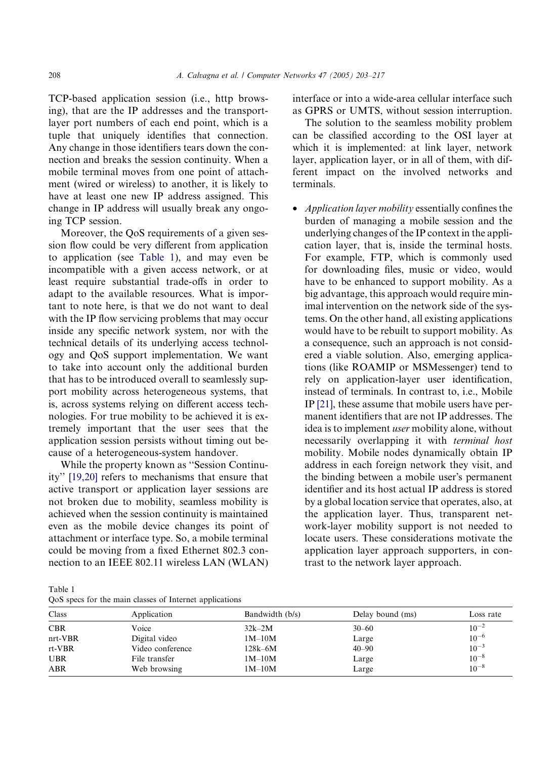TCP-based application session (i.e., http browsing), that are the IP addresses and the transportlayer port numbers of each end point, which is a tuple that uniquely identifies that connection. Any change in those identifiers tears down the connection and breaks the session continuity. When a mobile terminal moves from one point of attachment (wired or wireless) to another, it is likely to have at least one new IP address assigned. This change in IP address will usually break any ongoing TCP session.

Moreover, the QoS requirements of a given session flow could be very different from application to application (see Table 1), and may even be incompatible with a given access network, or at least require substantial trade-offs in order to adapt to the available resources. What is important to note here, is that we do not want to deal with the IP flow servicing problems that may occur inside any specific network system, nor with the technical details of its underlying access technology and QoS support implementation. We want to take into account only the additional burden that has to be introduced overall to seamlessly support mobility across heterogeneous systems, that is, across systems relying on different access technologies. For true mobility to be achieved it is extremely important that the user sees that the application session persists without timing out because of a heterogeneous-system handover.

While the property known as ''Session Continuity'' [\[19,20\]](#page-13-0) refers to mechanisms that ensure that active transport or application layer sessions are not broken due to mobility, seamless mobility is achieved when the session continuity is maintained even as the mobile device changes its point of attachment or interface type. So, a mobile terminal could be moving from a fixed Ethernet 802.3 connection to an IEEE 802.11 wireless LAN (WLAN)

interface or into a wide-area cellular interface such as GPRS or UMTS, without session interruption.

The solution to the seamless mobility problem can be classified according to the OSI layer at which it is implemented: at link layer, network layer, application layer, or in all of them, with different impact on the involved networks and terminals.

• Application layer mobility essentially confines the burden of managing a mobile session and the underlying changes of the IP context in the application layer, that is, inside the terminal hosts. For example, FTP, which is commonly used for downloading files, music or video, would have to be enhanced to support mobility. As a big advantage, this approach would require minimal intervention on the network side of the systems. On the other hand, all existing applications would have to be rebuilt to support mobility. As a consequence, such an approach is not considered a viable solution. Also, emerging applications (like ROAMIP or MSMessenger) tend to rely on application-layer user identification, instead of terminals. In contrast to, i.e., Mobile IP [\[21\],](#page-13-0) these assume that mobile users have permanent identifiers that are not IP addresses. The idea is to implement user mobility alone, without necessarily overlapping it with terminal host mobility. Mobile nodes dynamically obtain IP address in each foreign network they visit, and the binding between a mobile user's permanent identifier and its host actual IP address is stored by a global location service that operates, also, at the application layer. Thus, transparent network-layer mobility support is not needed to locate users. These considerations motivate the application layer approach supporters, in contrast to the network layer approach.

| Table 1                                                 |  |  |
|---------------------------------------------------------|--|--|
| QoS specs for the main classes of Internet applications |  |  |

| you open for the main encouple of meeting applications |                  |                 |                  |           |  |  |  |
|--------------------------------------------------------|------------------|-----------------|------------------|-----------|--|--|--|
| Class                                                  | Application      | Bandwidth (b/s) | Delay bound (ms) | Loss rate |  |  |  |
| <b>CBR</b>                                             | Voice            | $32k-2M$        | $30 - 60$        | $10^{-2}$ |  |  |  |
| nrt-VBR                                                | Digital video    | $1M-10M$        | Large            | $10^{-6}$ |  |  |  |
| rt-VBR                                                 | Video conference | $128k-6M$       | $40 - 90$        | $10^{-3}$ |  |  |  |
| <b>UBR</b>                                             | File transfer    | $1M-10M$        | Large            | $10^{-8}$ |  |  |  |
| ABR                                                    | Web browsing     | $1M-10M$        | Large            | $10^{-8}$ |  |  |  |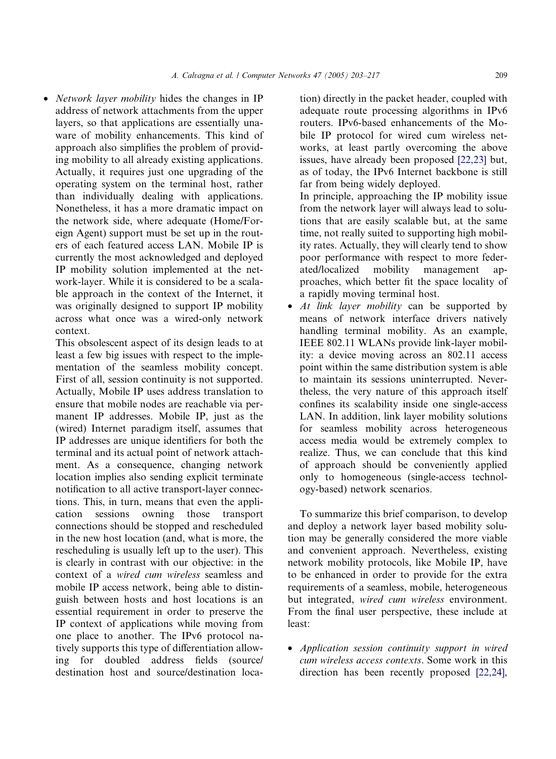• *Network layer mobility* hides the changes in IP address of network attachments from the upper layers, so that applications are essentially unaware of mobility enhancements. This kind of approach also simplifies the problem of providing mobility to all already existing applications. Actually, it requires just one upgrading of the operating system on the terminal host, rather than individually dealing with applications. Nonetheless, it has a more dramatic impact on the network side, where adequate (Home/Foreign Agent) support must be set up in the routers of each featured access LAN. Mobile IP is currently the most acknowledged and deployed IP mobility solution implemented at the network-layer. While it is considered to be a scalable approach in the context of the Internet, it was originally designed to support IP mobility across what once was a wired-only network context.

This obsolescent aspect of its design leads to at least a few big issues with respect to the implementation of the seamless mobility concept. First of all, session continuity is not supported. Actually, Mobile IP uses address translation to ensure that mobile nodes are reachable via permanent IP addresses. Mobile IP, just as the (wired) Internet paradigm itself, assumes that IP addresses are unique identifiers for both the terminal and its actual point of network attachment. As a consequence, changing network location implies also sending explicit terminate notification to all active transport-layer connections. This, in turn, means that even the application sessions owning those transport connections should be stopped and rescheduled in the new host location (and, what is more, the rescheduling is usually left up to the user). This is clearly in contrast with our objective: in the context of a wired cum wireless seamless and mobile IP access network, being able to distinguish between hosts and host locations is an essential requirement in order to preserve the IP context of applications while moving from one place to another. The IPv6 protocol natively supports this type of differentiation allowing for doubled address fields (source/ destination host and source/destination location) directly in the packet header, coupled with adequate route processing algorithms in IPv6 routers. IPv6-based enhancements of the Mobile IP protocol for wired cum wireless networks, at least partly overcoming the above issues, have already been proposed [\[22,23\]](#page-13-0) but, as of today, the IPv6 Internet backbone is still far from being widely deployed.

In principle, approaching the IP mobility issue from the network layer will always lead to solutions that are easily scalable but, at the same time, not really suited to supporting high mobility rates. Actually, they will clearly tend to show poor performance with respect to more federated/localized mobility management approaches, which better fit the space locality of a rapidly moving terminal host.

• At link layer mobility can be supported by means of network interface drivers natively handling terminal mobility. As an example, IEEE 802.11 WLANs provide link-layer mobility: a device moving across an 802.11 access point within the same distribution system is able to maintain its sessions uninterrupted. Nevertheless, the very nature of this approach itself confines its scalability inside one single-access LAN. In addition, link layer mobility solutions for seamless mobility across heterogeneous access media would be extremely complex to realize. Thus, we can conclude that this kind of approach should be conveniently applied only to homogeneous (single-access technology-based) network scenarios.

To summarize this brief comparison, to develop and deploy a network layer based mobility solution may be generally considered the more viable and convenient approach. Nevertheless, existing network mobility protocols, like Mobile IP, have to be enhanced in order to provide for the extra requirements of a seamless, mobile, heterogeneous but integrated, wired cum wireless environment. From the final user perspective, these include at least:

• Application session continuity support in wired cum wireless access contexts. Some work in this direction has been recently proposed [\[22,24\]](#page-13-0),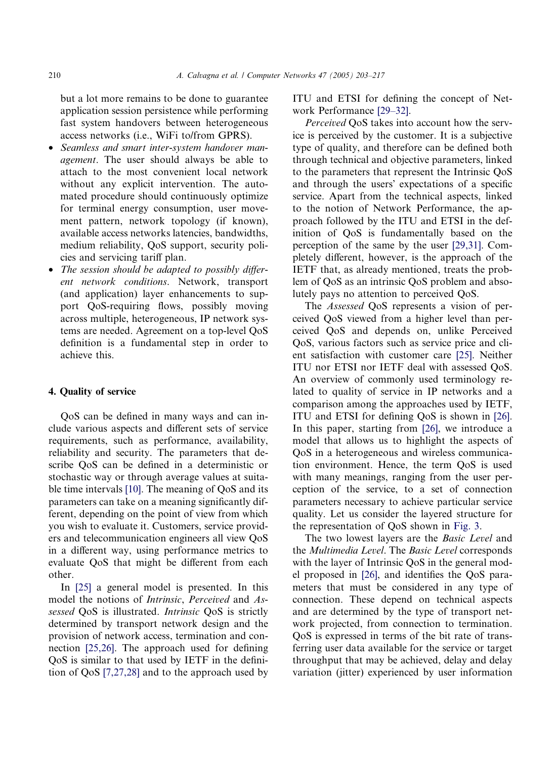but a lot more remains to be done to guarantee application session persistence while performing fast system handovers between heterogeneous access networks (i.e., WiFi to/from GPRS).

- Seamless and smart inter-system handover management. The user should always be able to attach to the most convenient local network without any explicit intervention. The automated procedure should continuously optimize for terminal energy consumption, user movement pattern, network topology (if known), available access networks latencies, bandwidths, medium reliability, QoS support, security policies and servicing tariff plan.
- The session should be adapted to possibly different network conditions. Network, transport (and application) layer enhancements to support QoS-requiring flows, possibly moving across multiple, heterogeneous, IP network systems are needed. Agreement on a top-level QoS definition is a fundamental step in order to achieve this.

### 4. Quality of service

QoS can be defined in many ways and can include various aspects and different sets of service requirements, such as performance, availability, reliability and security. The parameters that describe QoS can be defined in a deterministic or stochastic way or through average values at suitable time intervals [\[10\]](#page-13-0). The meaning of QoS and its parameters can take on a meaning significantly different, depending on the point of view from which you wish to evaluate it. Customers, service providers and telecommunication engineers all view QoS in a different way, using performance metrics to evaluate QoS that might be different from each other.

In [\[25\]](#page-13-0) a general model is presented. In this model the notions of Intrinsic, Perceived and Assessed QoS is illustrated. *Intrinsic* QoS is strictly determined by transport network design and the provision of network access, termination and connection [\[25,26\].](#page-13-0) The approach used for defining QoS is similar to that used by IETF in the definition of QoS [\[7,27,28\]](#page-13-0) and to the approach used by ITU and ETSI for defining the concept of Network Performance [\[29–32\].](#page-13-0)

Perceived QoS takes into account how the service is perceived by the customer. It is a subjective type of quality, and therefore can be defined both through technical and objective parameters, linked to the parameters that represent the Intrinsic QoS and through the users' expectations of a specific service. Apart from the technical aspects, linked to the notion of Network Performance, the approach followed by the ITU and ETSI in the definition of QoS is fundamentally based on the perception of the same by the user [\[29,31\].](#page-13-0) Completely different, however, is the approach of the IETF that, as already mentioned, treats the problem of QoS as an intrinsic QoS problem and absolutely pays no attention to perceived QoS.

The Assessed QoS represents a vision of perceived QoS viewed from a higher level than perceived QoS and depends on, unlike Perceived QoS, various factors such as service price and client satisfaction with customer care [\[25\]](#page-13-0). Neither ITU nor ETSI nor IETF deal with assessed QoS. An overview of commonly used terminology related to quality of service in IP networks and a comparison among the approaches used by IETF, ITU and ETSI for defining QoS is shown in [\[26\]](#page-13-0). In this paper, starting from [\[26\],](#page-13-0) we introduce a model that allows us to highlight the aspects of QoS in a heterogeneous and wireless communication environment. Hence, the term QoS is used with many meanings, ranging from the user perception of the service, to a set of connection parameters necessary to achieve particular service quality. Let us consider the layered structure for the representation of QoS shown in [Fig. 3](#page-8-0).

The two lowest layers are the Basic Level and the Multimedia Level. The Basic Level corresponds with the layer of Intrinsic QoS in the general model proposed in [\[26\]](#page-13-0), and identifies the QoS parameters that must be considered in any type of connection. These depend on technical aspects and are determined by the type of transport network projected, from connection to termination. QoS is expressed in terms of the bit rate of transferring user data available for the service or target throughput that may be achieved, delay and delay variation (jitter) experienced by user information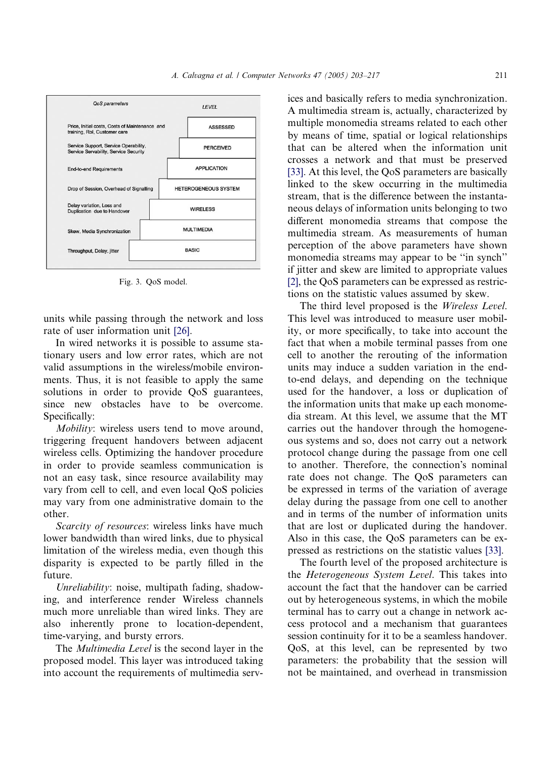<span id="page-8-0"></span>

Fig. 3. QoS model.

units while passing through the network and loss rate of user information unit [\[26\].](#page-13-0)

In wired networks it is possible to assume stationary users and low error rates, which are not valid assumptions in the wireless/mobile environments. Thus, it is not feasible to apply the same solutions in order to provide OoS guarantees. since new obstacles have to be overcome. Specifically:

Mobility: wireless users tend to move around, triggering frequent handovers between adjacent wireless cells. Optimizing the handover procedure in order to provide seamless communication is not an easy task, since resource availability may vary from cell to cell, and even local QoS policies may vary from one administrative domain to the other.

Scarcity of resources: wireless links have much lower bandwidth than wired links, due to physical limitation of the wireless media, even though this disparity is expected to be partly filled in the future.

Unreliability: noise, multipath fading, shadowing, and interference render Wireless channels much more unreliable than wired links. They are also inherently prone to location-dependent, time-varying, and bursty errors.

The Multimedia Level is the second layer in the proposed model. This layer was introduced taking into account the requirements of multimedia services and basically refers to media synchronization. A multimedia stream is, actually, characterized by multiple monomedia streams related to each other by means of time, spatial or logical relationships that can be altered when the information unit crosses a network and that must be preserved [\[33\]](#page-13-0). At this level, the QoS parameters are basically linked to the skew occurring in the multimedia stream, that is the difference between the instantaneous delays of information units belonging to two different monomedia streams that compose the multimedia stream. As measurements of human perception of the above parameters have shown monomedia streams may appear to be ''in synch'' if jitter and skew are limited to appropriate values [\[2\]](#page-12-0), the QoS parameters can be expressed as restrictions on the statistic values assumed by skew.

The third level proposed is the Wireless Level. This level was introduced to measure user mobility, or more specifically, to take into account the fact that when a mobile terminal passes from one cell to another the rerouting of the information units may induce a sudden variation in the endto-end delays, and depending on the technique used for the handover, a loss or duplication of the information units that make up each monomedia stream. At this level, we assume that the MT carries out the handover through the homogeneous systems and so, does not carry out a network protocol change during the passage from one cell to another. Therefore, the connection's nominal rate does not change. The QoS parameters can be expressed in terms of the variation of average delay during the passage from one cell to another and in terms of the number of information units that are lost or duplicated during the handover. Also in this case, the QoS parameters can be expressed as restrictions on the statistic values [\[33\].](#page-13-0)

The fourth level of the proposed architecture is the Heterogeneous System Level. This takes into account the fact that the handover can be carried out by heterogeneous systems, in which the mobile terminal has to carry out a change in network access protocol and a mechanism that guarantees session continuity for it to be a seamless handover. QoS, at this level, can be represented by two parameters: the probability that the session will not be maintained, and overhead in transmission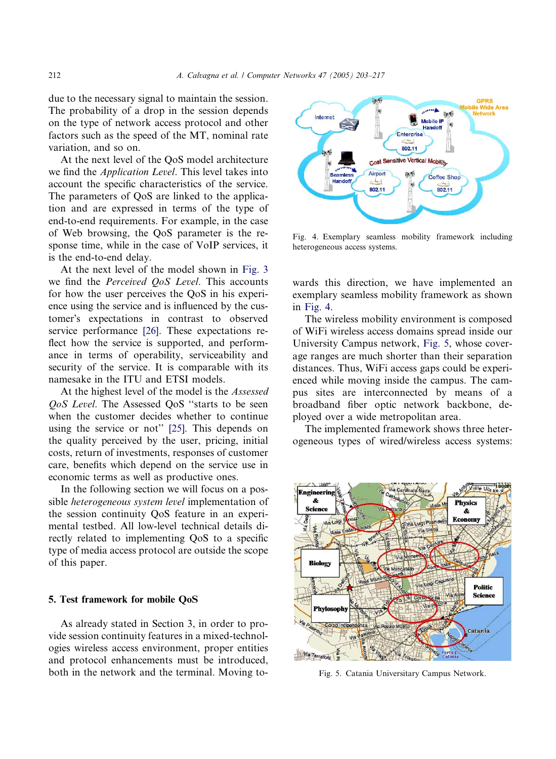due to the necessary signal to maintain the session. The probability of a drop in the session depends on the type of network access protocol and other factors such as the speed of the MT, nominal rate variation, and so on.

At the next level of the QoS model architecture we find the Application Level. This level takes into account the specific characteristics of the service. The parameters of QoS are linked to the application and are expressed in terms of the type of end-to-end requirements. For example, in the case of Web browsing, the QoS parameter is the response time, while in the case of VoIP services, it is the end-to-end delay.

At the next level of the model shown in [Fig. 3](#page-8-0) we find the Perceived QoS Level. This accounts for how the user perceives the QoS in his experience using the service and is influenced by the customer's expectations in contrast to observed service performance [\[26\]](#page-13-0). These expectations reflect how the service is supported, and performance in terms of operability, serviceability and security of the service. It is comparable with its namesake in the ITU and ETSI models.

At the highest level of the model is the Assessed QoS Level. The Assessed QoS ''starts to be seen when the customer decides whether to continue using the service or not'' [\[25\].](#page-13-0) This depends on the quality perceived by the user, pricing, initial costs, return of investments, responses of customer care, benefits which depend on the service use in economic terms as well as productive ones.

In the following section we will focus on a possible heterogeneous system level implementation of the session continuity QoS feature in an experimental testbed. All low-level technical details directly related to implementing QoS to a specific type of media access protocol are outside the scope of this paper.

# 5. Test framework for mobile QoS

As already stated in Section 3, in order to provide session continuity features in a mixed-technologies wireless access environment, proper entities and protocol enhancements must be introduced, both in the network and the terminal. Moving to-



Fig. 4. Exemplary seamless mobility framework including heterogeneous access systems.

wards this direction, we have implemented an exemplary seamless mobility framework as shown in Fig. 4.

The wireless mobility environment is composed of WiFi wireless access domains spread inside our University Campus network, Fig. 5, whose coverage ranges are much shorter than their separation distances. Thus, WiFi access gaps could be experienced while moving inside the campus. The campus sites are interconnected by means of a broadband fiber optic network backbone, deployed over a wide metropolitan area.

The implemented framework shows three heterogeneous types of wired/wireless access systems:



Fig. 5. Catania Universitary Campus Network.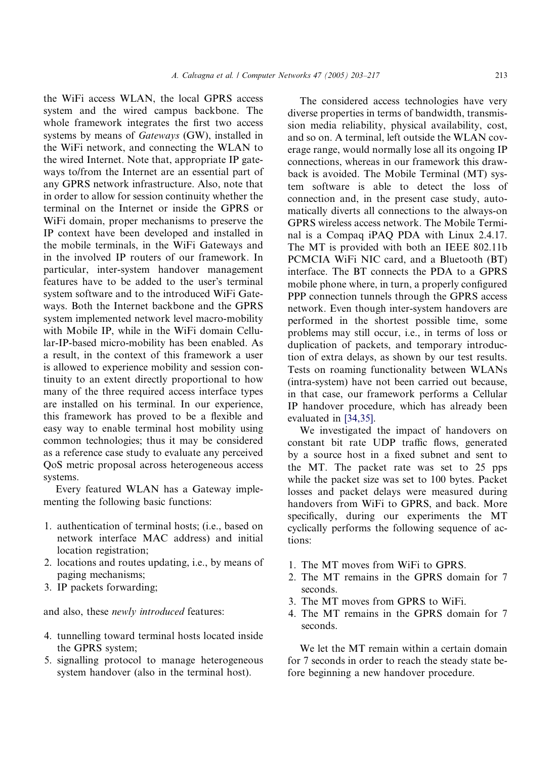the WiFi access WLAN, the local GPRS access system and the wired campus backbone. The whole framework integrates the first two access systems by means of Gateways (GW), installed in the WiFi network, and connecting the WLAN to the wired Internet. Note that, appropriate IP gateways to/from the Internet are an essential part of any GPRS network infrastructure. Also, note that in order to allow for session continuity whether the terminal on the Internet or inside the GPRS or WiFi domain, proper mechanisms to preserve the IP context have been developed and installed in the mobile terminals, in the WiFi Gateways and in the involved IP routers of our framework. In particular, inter-system handover management features have to be added to the user's terminal system software and to the introduced WiFi Gateways. Both the Internet backbone and the GPRS system implemented network level macro-mobility with Mobile IP, while in the WiFi domain Cellular-IP-based micro-mobility has been enabled. As a result, in the context of this framework a user is allowed to experience mobility and session continuity to an extent directly proportional to how many of the three required access interface types are installed on his terminal. In our experience, this framework has proved to be a flexible and easy way to enable terminal host mobility using common technologies; thus it may be considered as a reference case study to evaluate any perceived QoS metric proposal across heterogeneous access systems.

Every featured WLAN has a Gateway implementing the following basic functions:

- 1. authentication of terminal hosts; (i.e., based on network interface MAC address) and initial location registration;
- 2. locations and routes updating, i.e., by means of paging mechanisms;
- 3. IP packets forwarding;

and also, these newly introduced features:

- 4. tunnelling toward terminal hosts located inside the GPRS system;
- 5. signalling protocol to manage heterogeneous system handover (also in the terminal host).

The considered access technologies have very diverse properties in terms of bandwidth, transmission media reliability, physical availability, cost, and so on. A terminal, left outside the WLAN coverage range, would normally lose all its ongoing IP connections, whereas in our framework this drawback is avoided. The Mobile Terminal (MT) system software is able to detect the loss of connection and, in the present case study, automatically diverts all connections to the always-on GPRS wireless access network. The Mobile Terminal is a Compaq iPAQ PDA with Linux 2.4.17. The MT is provided with both an IEEE 802.11b PCMCIA WiFi NIC card, and a Bluetooth (BT) interface. The BT connects the PDA to a GPRS mobile phone where, in turn, a properly configured PPP connection tunnels through the GPRS access network. Even though inter-system handovers are performed in the shortest possible time, some problems may still occur, i.e., in terms of loss or duplication of packets, and temporary introduction of extra delays, as shown by our test results. Tests on roaming functionality between WLANs (intra-system) have not been carried out because, in that case, our framework performs a Cellular IP handover procedure, which has already been evaluated in [\[34,35\]](#page-13-0).

We investigated the impact of handovers on constant bit rate UDP traffic flows, generated by a source host in a fixed subnet and sent to the MT. The packet rate was set to 25 pps while the packet size was set to 100 bytes. Packet losses and packet delays were measured during handovers from WiFi to GPRS, and back. More specifically, during our experiments the MT cyclically performs the following sequence of actions:

- 1. The MT moves from WiFi to GPRS.
- 2. The MT remains in the GPRS domain for 7 seconds.
- 3. The MT moves from GPRS to WiFi.
- 4. The MT remains in the GPRS domain for 7 seconds.

We let the MT remain within a certain domain for 7 seconds in order to reach the steady state before beginning a new handover procedure.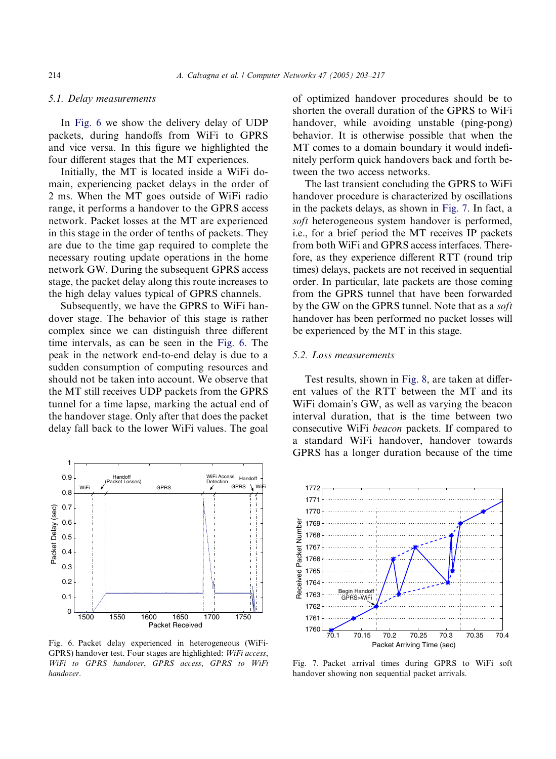# 5.1. Delay measurements

In Fig. 6 we show the delivery delay of UDP packets, during handoffs from WiFi to GPRS and vice versa. In this figure we highlighted the four different stages that the MT experiences.

Initially, the MT is located inside a WiFi domain, experiencing packet delays in the order of 2 ms. When the MT goes outside of WiFi radio range, it performs a handover to the GPRS access network. Packet losses at the MT are experienced in this stage in the order of tenths of packets. They are due to the time gap required to complete the necessary routing update operations in the home network GW. During the subsequent GPRS access stage, the packet delay along this route increases to the high delay values typical of GPRS channels.

Subsequently, we have the GPRS to WiFi handover stage. The behavior of this stage is rather complex since we can distinguish three different time intervals, as can be seen in the Fig. 6. The peak in the network end-to-end delay is due to a sudden consumption of computing resources and should not be taken into account. We observe that the MT still receives UDP packets from the GPRS tunnel for a time lapse, marking the actual end of the handover stage. Only after that does the packet delay fall back to the lower WiFi values. The goal



Fig. 6. Packet delay experienced in heterogeneous (WiFi-GPRS) handover test. Four stages are highlighted: WiFi access, WiFi to GPRS handover, GPRS access, GPRS to WiFi handover.

of optimized handover procedures should be to shorten the overall duration of the GPRS to WiFi handover, while avoiding unstable (ping-pong) behavior. It is otherwise possible that when the MT comes to a domain boundary it would indefinitely perform quick handovers back and forth between the two access networks.

The last transient concluding the GPRS to WiFi handover procedure is characterized by oscillations in the packets delays, as shown in Fig. 7. In fact, a soft heterogeneous system handover is performed, i.e., for a brief period the MT receives IP packets from both WiFi and GPRS access interfaces. Therefore, as they experience different RTT (round trip times) delays, packets are not received in sequential order. In particular, late packets are those coming from the GPRS tunnel that have been forwarded by the GW on the GPRS tunnel. Note that as a soft handover has been performed no packet losses will be experienced by the MT in this stage.

## 5.2. Loss measurements

Test results, shown in [Fig. 8,](#page-12-0) are taken at different values of the RTT between the MT and its WiFi domain's GW, as well as varying the beacon interval duration, that is the time between two consecutive WiFi beacon packets. If compared to a standard WiFi handover, handover towards GPRS has a longer duration because of the time



Fig. 7. Packet arrival times during GPRS to WiFi soft handover showing non sequential packet arrivals.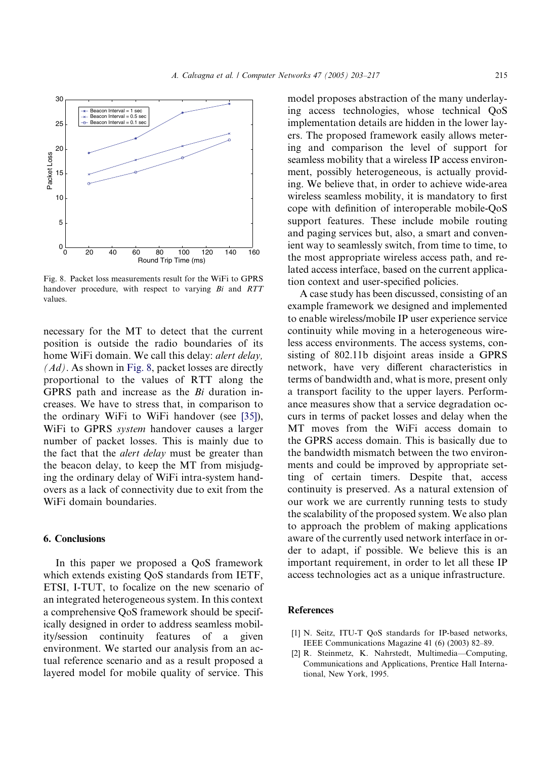<span id="page-12-0"></span>

Fig. 8. Packet loss measurements result for the WiFi to GPRS handover procedure, with respect to varying Bi and RTT values.

necessary for the MT to detect that the current position is outside the radio boundaries of its home WiFi domain. We call this delay: *alert delay*,  $(Ad)$ . As shown in Fig. 8, packet losses are directly proportional to the values of RTT along the GPRS path and increase as the Bi duration increases. We have to stress that, in comparison to the ordinary WiFi to WiFi handover (see [\[35\]\)](#page-13-0), WiFi to GPRS system handover causes a larger number of packet losses. This is mainly due to the fact that the *alert delay* must be greater than the beacon delay, to keep the MT from misjudging the ordinary delay of WiFi intra-system handovers as a lack of connectivity due to exit from the WiFi domain boundaries.

# 6. Conclusions

In this paper we proposed a QoS framework which extends existing QoS standards from IETF, ETSI, I-TUT, to focalize on the new scenario of an integrated heterogeneous system. In this context a comprehensive QoS framework should be specifically designed in order to address seamless mobility/session continuity features of a given environment. We started our analysis from an actual reference scenario and as a result proposed a layered model for mobile quality of service. This model proposes abstraction of the many underlaying access technologies, whose technical QoS implementation details are hidden in the lower layers. The proposed framework easily allows metering and comparison the level of support for seamless mobility that a wireless IP access environment, possibly heterogeneous, is actually providing. We believe that, in order to achieve wide-area wireless seamless mobility, it is mandatory to first cope with definition of interoperable mobile-QoS support features. These include mobile routing and paging services but, also, a smart and convenient way to seamlessly switch, from time to time, to the most appropriate wireless access path, and related access interface, based on the current application context and user-specified policies.

A case study has been discussed, consisting of an example framework we designed and implemented to enable wireless/mobile IP user experience service continuity while moving in a heterogeneous wireless access environments. The access systems, consisting of 802.11b disjoint areas inside a GPRS network, have very different characteristics in terms of bandwidth and, what is more, present only a transport facility to the upper layers. Performance measures show that a service degradation occurs in terms of packet losses and delay when the MT moves from the WiFi access domain to the GPRS access domain. This is basically due to the bandwidth mismatch between the two environments and could be improved by appropriate setting of certain timers. Despite that, access continuity is preserved. As a natural extension of our work we are currently running tests to study the scalability of the proposed system. We also plan to approach the problem of making applications aware of the currently used network interface in order to adapt, if possible. We believe this is an important requirement, in order to let all these IP access technologies act as a unique infrastructure.

#### **References**

- [1] N. Seitz, ITU-T QoS standards for IP-based networks, IEEE Communications Magazine 41 (6) (2003) 82–89.
- [2] R. Steinmetz, K. Nahrstedt, Multimedia—Computing, Communications and Applications, Prentice Hall International, New York, 1995.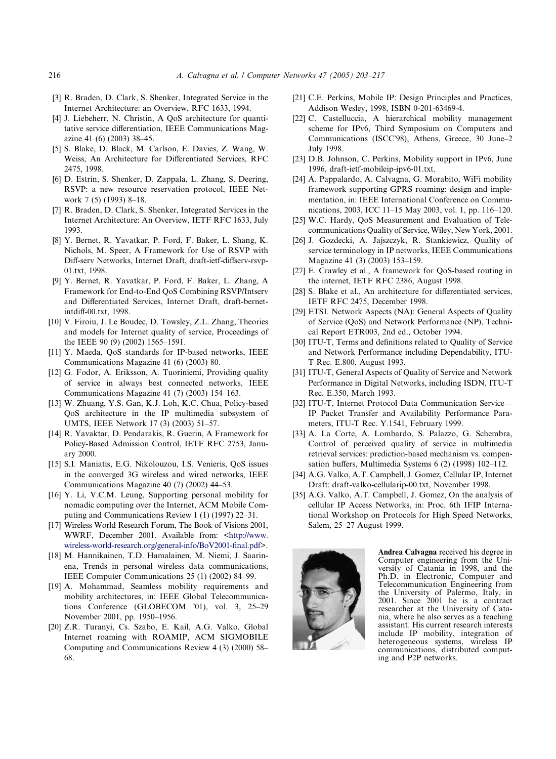- <span id="page-13-0"></span>[3] R. Braden, D. Clark, S. Shenker, Integrated Service in the Internet Architecture: an Overview, RFC 1633, 1994.
- [4] J. Liebeherr, N. Christin, A QoS architecture for quantitative service differentiation, IEEE Communications Magazine 41 (6) (2003) 38–45.
- [5] S. Blake, D. Black, M. Carlson, E. Davies, Z. Wang, W. Weiss, An Architecture for Differentiated Services, RFC 2475, 1998.
- [6] D. Estrin, S. Shenker, D. Zappala, L. Zhang, S. Deering, RSVP: a new resource reservation protocol, IEEE Network 7 (5) (1993) 8–18.
- [7] R. Braden, D. Clark, S. Shenker, Integrated Services in the Internet Architecture: An Overview, IETF RFC 1633, July 1993.
- [8] Y. Bernet, R. Yavatkar, P. Ford, F. Baker, L. Shang, K. Nichols, M. Speer, A Framework for Use of RSVP with Diff-serv Networks, Internet Draft, draft-ietf-diffserv-rsvp-01.txt, 1998.
- [9] Y. Bernet, R. Yavatkar, P. Ford, F. Baker, L. Zhang, A Framework for End-to-End QoS Combining RSVP/Intserv and Differentiated Services, Internet Draft, draft-bernetintdiff-00.txt, 1998.
- [10] V. Firoiu, J. Le Boudec, D. Towsley, Z.L. Zhang, Theories and models for Internet quality of service, Proceedings of the IEEE 90 (9) (2002) 1565–1591.
- [11] Y. Maeda, QoS standards for IP-based networks, IEEE Communications Magazine 41 (6) (2003) 80.
- [12] G. Fodor, A. Eriksson, A. Tuoriniemi, Providing quality of service in always best connected networks, IEEE Communications Magazine 41 (7) (2003) 154–163.
- [13] W. Zhuang, Y.S. Gan, K.J. Loh, K.C. Chua, Policy-based QoS architecture in the IP multimedia subsystem of UMTS, IEEE Network 17 (3) (2003) 51–57.
- [14] R. Yavaktar, D. Pendarakis, R. Guerin, A Framework for Policy-Based Admission Control, IETF RFC 2753, January 2000.
- [15] S.I. Maniatis, E.G. Nikolouzou, I.S. Venieris, QoS issues in the converged 3G wireless and wired networks, IEEE Communications Magazine 40 (7) (2002) 44–53.
- [16] Y. Li, V.C.M. Leung, Supporting personal mobility for nomadic computing over the Internet, ACM Mobile Computing and Communications Review 1 (1) (1997) 22–31.
- [17] Wireless World Research Forum, The Book of Visions 2001, WWRF, December 2001. Available from: [<http://www.](http://www.wireless-world-research.org/general-info/BoV2001-final.pdf) [wireless-world-research.org/general-info/BoV2001-final.pdf](http://www.wireless-world-research.org/general-info/BoV2001-final.pdf)>.
- [18] M. Hannikainen, T.D. Hamalainen, M. Niemi, J. Saarinena, Trends in personal wireless data communications, IEEE Computer Communications 25 (1) (2002) 84–99.
- [19] A. Mohammad, Seamless mobility requirements and mobility architectures, in: IEEE Global Telecommunications Conference (GLOBECOM '01), vol. 3, 25-29 November 2001, pp. 1950–1956.
- [20] Z.R. Turanyi, Cs. Szabo, E. Kail, A.G. Valko, Global Internet roaming with ROAMIP, ACM SIGMOBILE Computing and Communications Review 4(3) (2000) 58– 68.
- [21] C.E. Perkins, Mobile IP: Design Principles and Practices, Addison Wesley, 1998, ISBN 0-201-63469-4.
- [22] C. Castelluccia, A hierarchical mobility management scheme for IPv6, Third Symposium on Computers and Communications (ISCC98), Athens, Greece, 30 June–2 July 1998.
- [23] D.B. Johnson, C. Perkins, Mobility support in IPv6, June 1996, draft-ietf-mobileip-ipv6-01.txt.
- [24] A. Pappalardo, A. Calvagna, G. Morabito, WiFi mobility framework supporting GPRS roaming: design and implementation, in: IEEE International Conference on Communications, 2003, ICC 11–15 May 2003, vol. 1, pp. 116–120.
- [25] W.C. Hardy, QoS Measurement and Evaluation of Telecommunications Quality of Service, Wiley, New York, 2001.
- [26] J. Gozdecki, A. Jajszczyk, R. Stankiewicz, Quality of service terminology in IP networks, IEEE Communications Magazine 41 (3) (2003) 153–159.
- [27] E. Crawley et al., A framework for QoS-based routing in the internet, IETF RFC 2386, August 1998.
- [28] S. Blake et al., An architecture for differentiated services, IETF RFC 2475, December 1998.
- [29] ETSI. Network Aspects (NA): General Aspects of Quality of Service (QoS) and Network Performance (NP), Technical Report ETR003, 2nd ed., October 1994.
- [30] ITU-T, Terms and definitions related to Quality of Service and Network Performance including Dependability, ITU-T Rec. E.800, August 1993.
- [31] ITU-T, General Aspects of Quality of Service and Network Performance in Digital Networks, including ISDN, ITU-T Rec. E.350, March 1993.
- [32] ITU-T, Internet Protocol Data Communication Service— IP Packet Transfer and Availability Performance Parameters, ITU-T Rec. Y.1541, February 1999.
- [33] A. La Corte, A. Lombardo, S. Palazzo, G. Schembra, Control of perceived quality of service in multimedia retrieval services: prediction-based mechanism vs. compensation buffers, Multimedia Systems 6 (2) (1998) 102–112.
- [34] A.G. Valko, A.T. Campbell, J. Gomez, Cellular IP, Internet Draft: draft-valko-cellularip-00.txt, November 1998.
- [35] A.G. Valko, A.T. Campbell, J. Gomez, On the analysis of cellular IP Access Networks, in: Proc. 6th IFIP International Workshop on Protocols for High Speed Networks, Salem, 25–27 August 1999.



Andrea Calvagna received his degree in Computer engineering from the University of Catania in 1998, and the Ph.D. in Electronic, Computer and Telecommunication Engineering from the University of Palermo, Italy, in 2001. Since 2001 he is a contract researcher at the University of Catania, where he also serves as a teaching assistant. His current research interests include IP mobility, integration of heterogeneous systems, wireless IP communications, distributed computing and P2P networks.